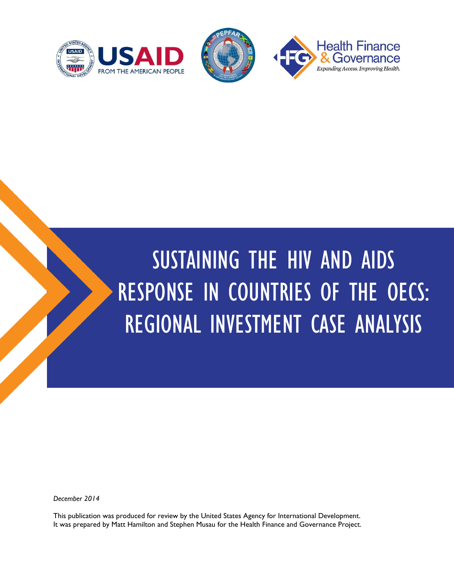



# SUSTAINING THE HIV AND AIDS RESPONSE IN COUNTRIES OF THE OECS: REGIONAL INVESTMENT CASE ANALYSIS

*December 2014*

This publication was produced for review by the United States Agency for International Development. It was prepared by Matt Hamilton and Stephen Musau for the Health Finance and Governance Project.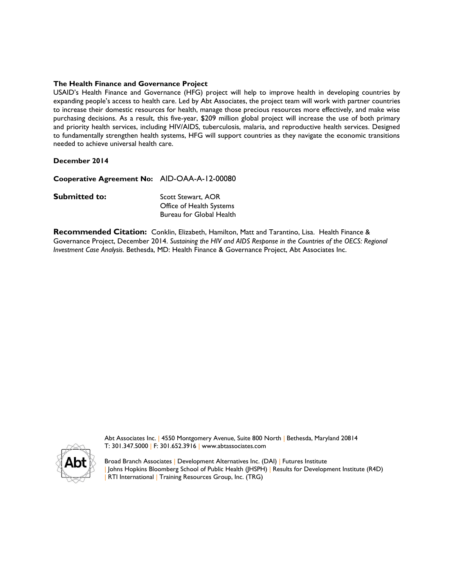#### **The Health Finance and Governance Project**

USAID's Health Finance and Governance (HFG) project will help to improve health in developing countries by expanding people's access to health care. Led by Abt Associates, the project team will work with partner countries to increase their domestic resources for health, manage those precious resources more effectively, and make wise purchasing decisions. As a result, this five-year, \$209 million global project will increase the use of both primary and priority health services, including HIV/AIDS, tuberculosis, malaria, and reproductive health services. Designed to fundamentally strengthen health systems, HFG will support countries as they navigate the economic transitions needed to achieve universal health care.

#### **December 2014**

**Cooperative Agreement No:** AID-OAA-A-12-00080 **Submitted to:** Scott Stewart, AOR Office of Health Systems Bureau for Global Health

**Recommended Citation:** Conklin, Elizabeth, Hamilton, Matt and Tarantino, Lisa. Health Finance & Governance Project, December 2014. *Sustaining the HIV and AIDS Response in the Countries of the OECS: Regional Investment Case Analysis.* Bethesda, MD: Health Finance & Governance Project, Abt Associates Inc.



Abt Associates Inc. | 4550 Montgomery Avenue, Suite 800 North | Bethesda, Maryland 20814 T: 301.347.5000 | F: 301.652.3916 | www.abtassociates.com

Broad Branch Associates | Development Alternatives Inc. (DAI) | Futures Institute | Johns Hopkins Bloomberg School of Public Health (JHSPH) | Results for Development Institute (R4D) RTI International | Training Resources Group, Inc. (TRG)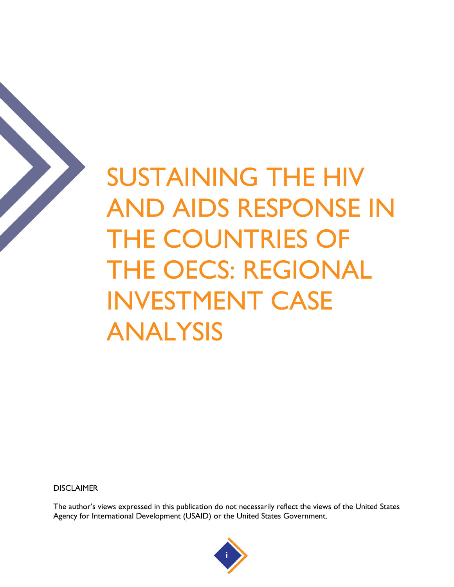

**DISCLAIMER** 

The author's views expressed in this publication do not necessarily reflect the views of the United States Agency for International Development (USAID) or the United States Government.

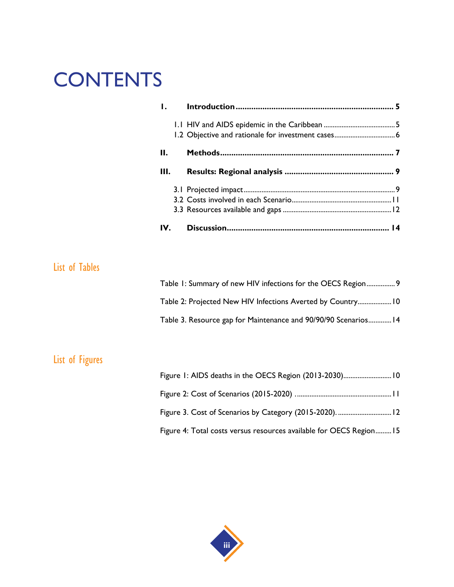## **CONTENTS**

|                       | $\mathbf{I}$ . |                                                                 |  |
|-----------------------|----------------|-----------------------------------------------------------------|--|
|                       |                | 1.2 Objective and rationale for investment cases 6              |  |
|                       | Н.             |                                                                 |  |
|                       | Ш.             |                                                                 |  |
|                       |                |                                                                 |  |
|                       |                |                                                                 |  |
|                       | IV.            |                                                                 |  |
|                       |                |                                                                 |  |
| <b>List of Tables</b> |                |                                                                 |  |
|                       |                | Table 1: Summary of new HIV infections for the OECS Region 9    |  |
|                       |                | Table 2: Projected New HIV Infections Averted by Country 10     |  |
|                       |                | Table 3. Resource gap for Maintenance and 90/90/90 Scenarios 14 |  |
|                       |                |                                                                 |  |
| List of Figures       |                |                                                                 |  |
|                       |                | Figure 1: AIDS deaths in the OECS Region (2013-2030) 10         |  |
|                       |                |                                                                 |  |

Figure 3. Cost of Scenarios by Category (2015-2020). ..............................12

Figure 4: Total costs versus resources available for OECS Region.........15

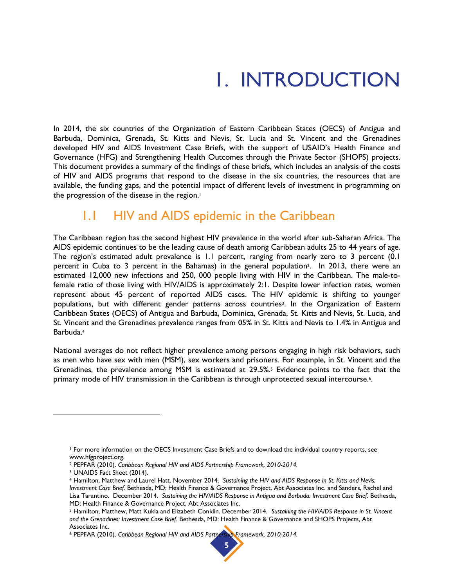## 1. INTRODUCTION

<span id="page-6-0"></span>In 2014, the six countries of the Organization of Eastern Caribbean States (OECS) of Antigua and Barbuda, Dominica, Grenada, St. Kitts and Nevis, St. Lucia and St. Vincent and the Grenadines developed HIV and AIDS Investment Case Briefs, with the support of USAID's Health Finance and Governance (HFG) and Strengthening Health Outcomes through the Private Sector (SHOPS) projects. This document provides a summary of the findings of these briefs, which includes an analysis of the costs of HIV and AIDS programs that respond to the disease in the six countries, the resources that are available, the funding gaps, and the potential impact of different levels of investment in programming on the progression of the disease in the region.<sup>1</sup>

#### 1.1 HIV and AIDS epidemic in the Caribbean

<span id="page-6-1"></span>The Caribbean region has the second highest HIV prevalence in the world after sub-Saharan Africa. The AIDS epidemic continues to be the leading cause of death among Caribbean adults 25 to 44 years of age. The region's estimated adult prevalence is 1.1 percent, ranging from nearly zero to 3 percent (0.1 percent in Cuba to 3 percent in the Bahamas) in the general population2. In 2013, there were an estimated 12,000 new infections and 250, 000 people living with HIV in the Caribbean. The male-tofemale ratio of those living with HIV/AIDS is approximately 2:1. Despite lower infection rates, women represent about 45 percent of reported AIDS cases. The HIV epidemic is shifting to younger populations, but with different gender patterns across countries3. In the Organization of Eastern Caribbean States (OECS) of Antigua and Barbuda, Dominica, Grenada, St. Kitts and Nevis, St. Lucia, and St. Vincent and the Grenadines prevalence ranges from 05% in St. Kitts and Nevis to 1.4% in Antigua and Barbuda.<sup>4</sup>

National averages do not reflect higher prevalence among persons engaging in high risk behaviors, such as men who have sex with men (MSM), sex workers and prisoners. For example, in St. Vincent and the Grenadines, the prevalence among MSM is estimated at 29.5%.<sup>5</sup> Evidence points to the fact that the primary mode of HIV transmission in the Caribbean is through unprotected sexual intercourse.<sup>6</sup>.

<sup>6</sup> PEPFAR (2010). *Caribbean Regional HIV and AIDS Partnership Framework, 2010-2014.* 



<sup>1</sup> For more information on the OECS Investment Case Briefs and to download the individual country reports, see www.hfgproject.org.

<sup>2</sup> PEPFAR (2010). *Caribbean Regional HIV and AIDS Partnership Framework, 2010-2014.* 

<sup>3</sup> UNAIDS Fact Sheet (2014).

<sup>4</sup> Hamilton, Matthew and Laurel Hatt. November 2014. *Sustaining the HIV and AIDS Response in St. Kitts and Nevis: Investment Case Brief.* Bethesda, MD: Health Finance & Governance Project, Abt Associates Inc. and Sanders, Rachel and Lisa Tarantino. December 2014. Sustaining the HIV/AIDS Response in Antigua and Barbuda: Investment Case Brief. Bethesda, MD: Health Finance & Governance Project, Abt Associates Inc.

<sup>5</sup> Hamilton, Matthew, Matt Kukla and Elizabeth Conklin. December 2014. *Sustaining the HIV/AIDS Response in St. Vincent and the Grenadines: Investment Case Brief.* Bethesda, MD: Health Finance & Governance and SHOPS Projects, Abt Associates Inc.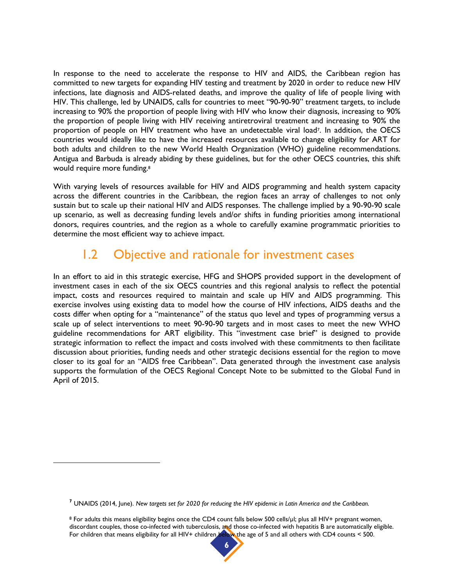In response to the need to accelerate the response to HIV and AIDS, the Caribbean region has committed to new targets for expanding HIV testing and treatment by 2020 in order to reduce new HIV infections, late diagnosis and AIDS-related deaths, and improve the quality of life of people living with HIV. This challenge, led by UNAIDS, calls for countries to meet "90-90-90" treatment targets, to include increasing to 90% the proportion of people living with HIV who know their diagnosis, increasing to 90% the proportion of people living with HIV receiving antiretroviral treatment and increasing to 90% the proportion of people on HIV treatment who have an undetectable viral load<sup>7</sup>. In addition, the OECS countries would ideally like to have the increased resources available to change eligibility for ART for both adults and children to the new World Health Organization (WHO) guideline recommendations. Antigua and Barbuda is already abiding by these guidelines, but for the other OECS countries, this shift would require more funding.<sup>8</sup>

With varying levels of resources available for HIV and AIDS programming and health system capacity across the different countries in the Caribbean, the region faces an array of challenges to not only sustain but to scale up their national HIV and AIDS responses. The challenge implied by a 90-90-90 scale up scenario, as well as decreasing funding levels and/or shifts in funding priorities among international donors, requires countries, and the region as a whole to carefully examine programmatic priorities to determine the most efficient way to achieve impact.

### 1.2 Objective and rationale for investment cases

<span id="page-7-0"></span>In an effort to aid in this strategic exercise, HFG and SHOPS provided support in the development of investment cases in each of the six OECS countries and this regional analysis to reflect the potential impact, costs and resources required to maintain and scale up HIV and AIDS programming. This exercise involves using existing data to model how the course of HIV infections, AIDS deaths and the costs differ when opting for a "maintenance" of the status quo level and types of programming versus a scale up of select interventions to meet 90-90-90 targets and in most cases to meet the new WHO guideline recommendations for ART eligibility. This "investment case brief" is designed to provide strategic information to reflect the impact and costs involved with these commitments to then facilitate discussion about priorities, funding needs and other strategic decisions essential for the region to move closer to its goal for an "AIDS free Caribbean". Data generated through the investment case analysis supports the formulation of the OECS Regional Concept Note to be submitted to the Global Fund in April of 2015.

 $\overline{a}$ 

<sup>8</sup> For adults this means eligibility begins once the CD4 count falls below 500 cells/µl; plus all HIV+ pregnant women, discordant couples, those co-infected with tuberculosis, and those co-infected with hepatitis B are automatically eligible. For children that means eligibility for all HIV+ children below the age of 5 and all others with CD4 counts < 500.



**<sup>7</sup>** UNAIDS (2014, June). *New targets set for 2020 for reducing the HIV epidemic in Latin America and the Caribbean.*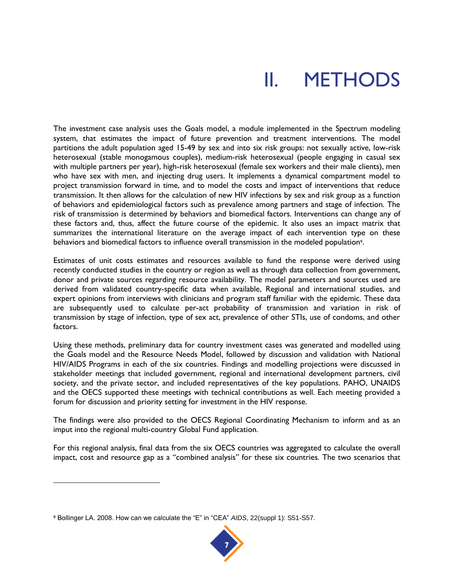## II. METHODS

<span id="page-8-0"></span>The investment case analysis uses the Goals model, a module implemented in the Spectrum modeling system, that estimates the impact of future prevention and treatment interventions. The model partitions the adult population aged 15-49 by sex and into six risk groups: not sexually active, low-risk heterosexual (stable monogamous couples), medium-risk heterosexual (people engaging in casual sex with multiple partners per year), high-risk heterosexual (female sex workers and their male clients), men who have sex with men, and injecting drug users. It implements a dynamical compartment model to project transmission forward in time, and to model the costs and impact of interventions that reduce transmission. It then allows for the calculation of new HIV infections by sex and risk group as a function of behaviors and epidemiological factors such as prevalence among partners and stage of infection. The risk of transmission is determined by behaviors and biomedical factors. Interventions can change any of these factors and, thus, affect the future course of the epidemic. It also uses an impact matrix that summarizes the international literature on the average impact of each intervention type on these behaviors and biomedical factors to influence overall transmission in the modeled population9.

Estimates of unit costs estimates and resources available to fund the response were derived using recently conducted studies in the country or region as well as through data collection from government, donor and private sources regarding resource availability. The model parameters and sources used are derived from validated country-specific data when available, Regional and international studies, and expert opinions from interviews with clinicians and program staff familiar with the epidemic. These data are subsequently used to calculate per-act probability of transmission and variation in risk of transmission by stage of infection, type of sex act, prevalence of other STIs, use of condoms, and other factors.

Using these methods, preliminary data for country investment cases was generated and modelled using the Goals model and the Resource Needs Model, followed by discussion and validation with National HIV/AIDS Programs in each of the six countries. Findings and modelling projections were discussed in stakeholder meetings that included government, regional and international development partners, civil society, and the private sector, and included representatives of the key populations. PAHO, UNAIDS and the OECS supported these meetings with technical contributions as well. Each meeting provided a forum for discussion and priority setting for investment in the HIV response.

The findings were also provided to the OECS Regional Coordinating Mechanism to inform and as an imput into the regional multi-country Global Fund application.

For this regional analysis, final data from the six OECS countries was aggregated to calculate the overall impact, cost and resource gap as a "combined analysis" for these six countries. The two scenarios that



<sup>9</sup> Bollinger LA. 2008. How can we calculate the "E" in "CEA" *AIDS*, 22(suppl 1): S51-S57.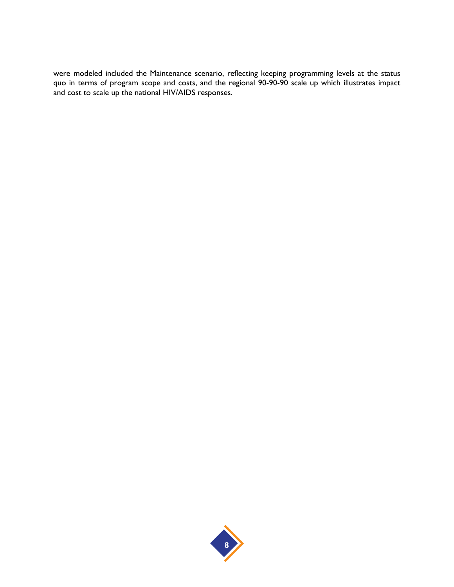were modeled included the Maintenance scenario, reflecting keeping programming levels at the status quo in terms of program scope and costs, and the regional 90-90-90 scale up which illustrates impact and cost to scale up the national HIV/AIDS responses.

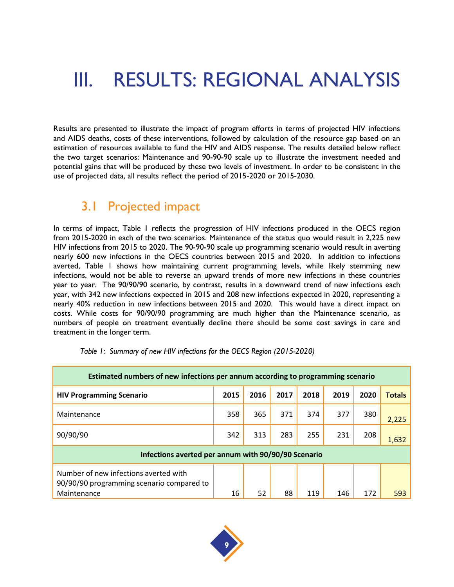### <span id="page-10-0"></span>III. RESULTS: REGIONAL ANALYSIS

Results are presented to illustrate the impact of program efforts in terms of projected HIV infections and AIDS deaths, costs of these interventions, followed by calculation of the resource gap based on an estimation of resources available to fund the HIV and AIDS response. The results detailed below reflect the two target scenarios: Maintenance and 90-90-90 scale up to illustrate the investment needed and potential gains that will be produced by these two levels of investment. In order to be consistent in the use of projected data, all results reflect the period of 2015-2020 or 2015-2030.

#### <span id="page-10-1"></span>3.1 Projected impact

In terms of impact, Table 1 reflects the progression of HIV infections produced in the OECS region from 2015-2020 in each of the two scenarios. Maintenance of the status quo would result in 2,225 new HIV infections from 2015 to 2020. The 90-90-90 scale up programming scenario would result in averting nearly 600 new infections in the OECS countries between 2015 and 2020. In addition to infections averted, Table 1 shows how maintaining current programming levels, while likely stemming new infections, would not be able to reverse an upward trends of more new infections in these countries year to year. The 90/90/90 scenario, by contrast, results in a downward trend of new infections each year, with 342 new infections expected in 2015 and 208 new infections expected in 2020, representing a nearly 40% reduction in new infections between 2015 and 2020. This would have a direct impact on costs. While costs for 90/90/90 programming are much higher than the Maintenance scenario, as numbers of people on treatment eventually decline there should be some cost savings in care and treatment in the longer term.

| Estimated numbers of new infections per annum according to programming scenario                   |                                                     |      |      |      |      |      |               |  |  |
|---------------------------------------------------------------------------------------------------|-----------------------------------------------------|------|------|------|------|------|---------------|--|--|
| <b>HIV Programming Scenario</b>                                                                   | 2015                                                | 2016 | 2017 | 2018 | 2019 | 2020 | <b>Totals</b> |  |  |
| Maintenance                                                                                       | 358                                                 | 365  | 371  | 374  | 377  | 380  | 2,225         |  |  |
| 90/90/90                                                                                          | 342                                                 | 313  | 283  | 255  | 231  | 208  | 1,632         |  |  |
|                                                                                                   | Infections averted per annum with 90/90/90 Scenario |      |      |      |      |      |               |  |  |
| Number of new infections averted with<br>90/90/90 programming scenario compared to<br>Maintenance | 16                                                  | 52   | 88   | 119  | 146  | 172  | 593           |  |  |

*Table 1: Summary of new HIV infections for the OECS Region (2015-2020)*

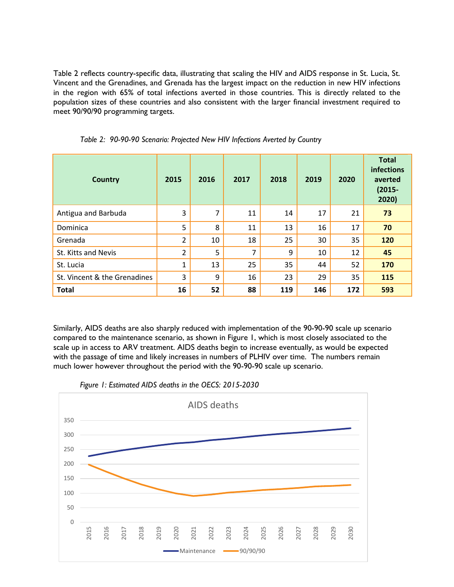Table 2 reflects country-specific data, illustrating that scaling the HIV and AIDS response in St. Lucia, St. Vincent and the Grenadines, and Grenada has the largest impact on the reduction in new HIV infections in the region with 65% of total infections averted in those countries. This is directly related to the population sizes of these countries and also consistent with the larger financial investment required to meet 90/90/90 programming targets.

| <b>Country</b>               | 2015           | 2016 | 2017           | 2018 | 2019 | 2020 | <b>Total</b><br><b>infections</b><br>averted<br>$(2015 -$<br>2020) |
|------------------------------|----------------|------|----------------|------|------|------|--------------------------------------------------------------------|
| Antigua and Barbuda          | 3              | 7    | 11             | 14   | 17   | 21   | 73                                                                 |
| Dominica                     | 5              | 8    | 11             | 13   | 16   | 17   | 70                                                                 |
| Grenada                      | 2              | 10   | 18             | 25   | 30   | 35   | 120                                                                |
| St. Kitts and Nevis          | $\overline{2}$ | 5    | $\overline{7}$ | 9    | 10   | 12   | 45                                                                 |
| St. Lucia                    | $\mathbf{1}$   | 13   | 25             | 35   | 44   | 52   | 170                                                                |
| St. Vincent & the Grenadines | 3              | 9    | 16             | 23   | 29   | 35   | 115                                                                |
| <b>Total</b>                 | 16             | 52   | 88             | 119  | 146  | 172  | 593                                                                |

*Table 2: 90-90-90 Scenario: Projected New HIV Infections Averted by Country*

Similarly, AIDS deaths are also sharply reduced with implementation of the 90-90-90 scale up scenario compared to the maintenance scenario, as shown in Figure 1, which is most closely associated to the scale up in access to ARV treatment. AIDS deaths begin to increase eventually, as would be expected with the passage of time and likely increases in numbers of PLHIV over time. The numbers remain much lower however throughout the period with the 90-90-90 scale up scenario.



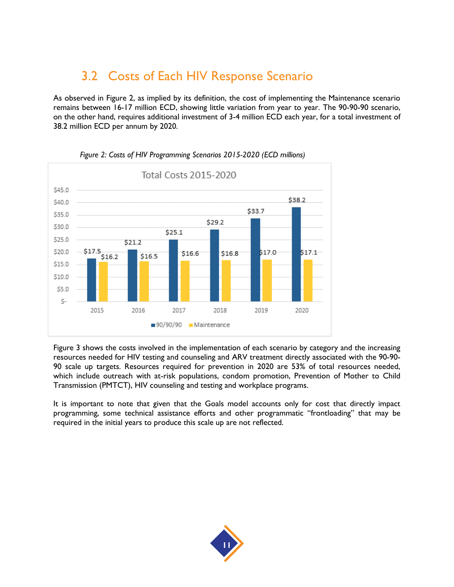### 3.2 Costs of Each HIV Response Scenario

<span id="page-12-0"></span>As observed in Figure 2, as implied by its definition, the cost of implementing the Maintenance scenario remains between 16-17 million ECD, showing little variation from year to year. The 90-90-90 scenario, on the other hand, requires additional investment of 3-4 million ECD each year, for a total investment of 38.2 million ECD per annum by 2020.



#### *Figure 2: Costs of HIV Programming Scenarios 2015-2020 (ECD millions)*

Figure 3 shows the costs involved in the implementation of each scenario by category and the increasing resources needed for HIV testing and counseling and ARV treatment directly associated with the 90-90- 90 scale up targets. Resources required for prevention in 2020 are 53% of total resources needed, which include outreach with at-risk populations, condom promotion, Prevention of Mother to Child Transmission (PMTCT), HIV counseling and testing and workplace programs.

It is important to note that given that the Goals model accounts only for cost that directly impact programming, some technical assistance efforts and other programmatic "frontloading" that may be required in the initial years to produce this scale up are not reflected.

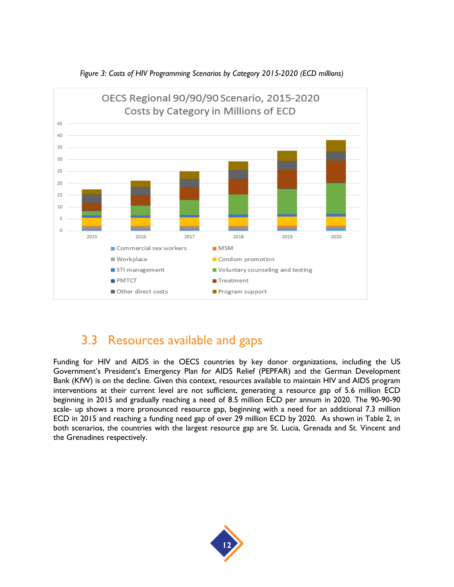

*Figure 3: Costs of HIV Programming Scenarios by Category 2015-2020 (ECD millions)*

### <span id="page-13-0"></span>3.3 Resources available and gaps

Funding for HIV and AIDS in the OECS countries by key donor organizations, including the US Government's President's Emergency Plan for AIDS Relief (PEPFAR) and the German Development Bank (KfW) is on the decline. Given this context, resources available to maintain HIV and AIDS program interventions at their current level are not sufficient, generating a resource gap of 5.6 million ECD beginning in 2015 and gradually reaching a need of 8.5 million ECD per annum in 2020. The 90-90-90 scale- up shows a more pronounced resource gap, beginning with a need for an additional 7.3 million ECD in 2015 and reaching a funding need gap of over 29 million ECD by 2020. As shown in Table 2, in both scenarios, the countries with the largest resource gap are St. Lucia, Grenada and St. Vincent and the Grenadines respectively.

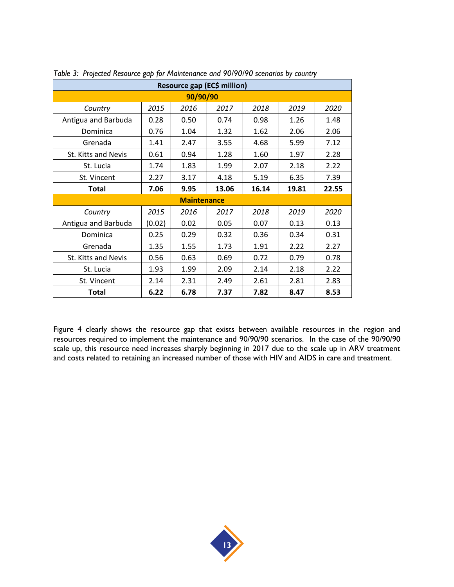| Resource gap (EC\$ million) |        |      |       |       |       |       |  |  |  |
|-----------------------------|--------|------|-------|-------|-------|-------|--|--|--|
| 90/90/90                    |        |      |       |       |       |       |  |  |  |
| Country                     | 2015   | 2016 | 2017  | 2018  | 2019  | 2020  |  |  |  |
| Antigua and Barbuda         | 0.28   | 0.50 | 0.74  | 0.98  | 1.26  | 1.48  |  |  |  |
| Dominica                    | 0.76   | 1.04 | 1.32  | 1.62  | 2.06  | 2.06  |  |  |  |
| Grenada                     | 1.41   | 2.47 | 3.55  | 4.68  | 5.99  | 7.12  |  |  |  |
| St. Kitts and Nevis         | 0.61   | 0.94 | 1.28  | 1.60  | 1.97  | 2.28  |  |  |  |
| St. Lucia                   | 1.74   | 1.83 | 1.99  | 2.07  | 2.18  | 2.22  |  |  |  |
| St. Vincent                 | 2.27   | 3.17 | 4.18  | 5.19  | 6.35  | 7.39  |  |  |  |
| <b>Total</b>                | 7.06   | 9.95 | 13.06 | 16.14 | 19.81 | 22.55 |  |  |  |
| <b>Maintenance</b>          |        |      |       |       |       |       |  |  |  |
| Country                     | 2015   | 2016 | 2017  | 2018  | 2019  | 2020  |  |  |  |
| Antigua and Barbuda         | (0.02) | 0.02 | 0.05  | 0.07  | 0.13  | 0.13  |  |  |  |
| Dominica                    | 0.25   | 0.29 | 0.32  | 0.36  | 0.34  | 0.31  |  |  |  |
| Grenada                     | 1.35   | 1.55 | 1.73  | 1.91  | 2.22  | 2.27  |  |  |  |
| St. Kitts and Nevis         | 0.56   | 0.63 | 0.69  | 0.72  | 0.79  | 0.78  |  |  |  |
| St. Lucia                   | 1.93   | 1.99 | 2.09  | 2.14  | 2.18  | 2.22  |  |  |  |
| St. Vincent                 | 2.14   | 2.31 | 2.49  | 2.61  | 2.81  | 2.83  |  |  |  |
| Total                       | 6.22   | 6.78 | 7.37  | 7.82  | 8.47  | 8.53  |  |  |  |

*Table 3: Projected Resource gap for Maintenance and 90/90/90 scenarios by country*

Figure 4 clearly shows the resource gap that exists between available resources in the region and resources required to implement the maintenance and 90/90/90 scenarios. In the case of the 90/90/90 scale up, this resource need increases sharply beginning in 2017 due to the scale up in ARV treatment and costs related to retaining an increased number of those with HIV and AIDS in care and treatment.

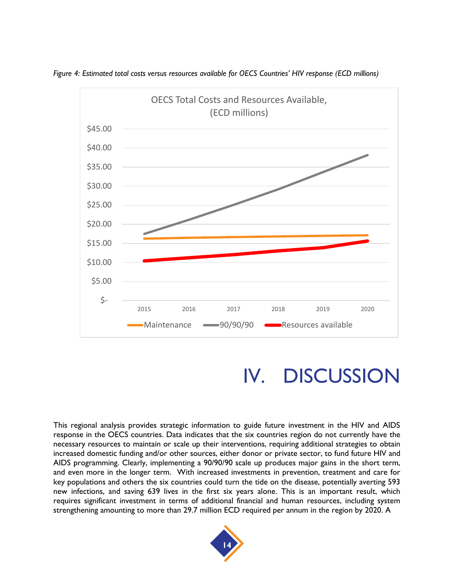

*Figure 4: Estimated total costs versus resources available for OECS Countries' HIV response (ECD millions)*

### IV. DISCUSSION

<span id="page-15-0"></span>This regional analysis provides strategic information to guide future investment in the HIV and AIDS response in the OECS countries. Data indicates that the six countries region do not currently have the necessary resources to maintain or scale up their interventions, requiring additional strategies to obtain increased domestic funding and/or other sources, either donor or private sector, to fund future HIV and AIDS programming. Clearly, implementing a 90/90/90 scale up produces major gains in the short term, and even more in the longer term. With increased investments in prevention, treatment and care for key populations and others the six countries could turn the tide on the disease, potentially averting 593 new infections, and saving 639 lives in the first six years alone. This is an important result, which requires significant investment in terms of additional financial and human resources, including system strengthening amounting to more than 29.7 million ECD required per annum in the region by 2020. A